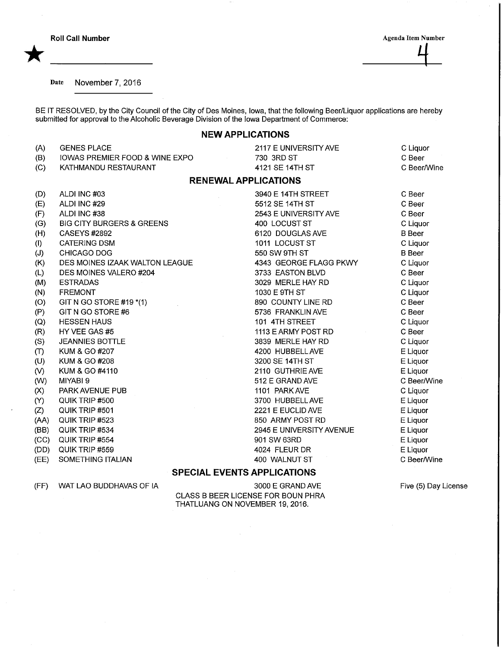\*

Date November 7, 2016

BE IT RESOLVED, by the City Council of the City of Des Moines, Iowa, that the following Beer/Liquor applications are hereb submitted for approval to the Alcoholic Beverage Division of the Iowa Department of Commerce:

## NEW APPLICATIONS

| (A)  | <b>GENES PLACE</b>                        | 2117 E UNIVERSITY AVE              | C Liquor      |
|------|-------------------------------------------|------------------------------------|---------------|
| (B)  | <b>IOWAS PREMIER FOOD &amp; WINE EXPO</b> | 730 3RD ST                         | C Beer        |
| (C)  | KATHMANDU RESTAURANT                      | 4121 SE 14TH ST                    | C Beer/Wine   |
|      |                                           | <b>RENEWAL APPLICATIONS</b>        |               |
| (D)  | ALDI INC #03                              | 3940 E 14TH STREET                 | C Beer        |
| (E)  | ALDI INC #29                              | 5512 SE 14TH ST                    | C Beer        |
| (F)  | ALDI INC #38                              | 2543 E UNIVERSITY AVE              | C Beer        |
| (G)  | <b>BIG CITY BURGERS &amp; GREENS</b>      | 400 LOCUST ST                      | C Liquor      |
| (H)  | <b>CASEYS #2892</b>                       | 6120 DOUGLAS AVE                   | <b>B</b> Beer |
| (1)  | <b>CATERING DSM</b>                       | 1011 LOCUST ST                     | C Liquor      |
| (J)  | CHICAGO DOG                               | 550 SW 9TH ST                      | <b>B</b> Beer |
| (K)  | DES MOINES IZAAK WALTON LEAGUE            | 4343 GEORGE FLAGG PKWY             | C Liquor      |
| (L)  | DES MOINES VALERO #204                    | 3733 EASTON BLVD                   | C Beer        |
| (M)  | <b>ESTRADAS</b>                           | 3029 MERLE HAY RD                  | C Liquor      |
| (N)  | <b>FREMONT</b>                            | 1030 E 9TH ST                      | C Liquor      |
| (O)  | GIT N GO STORE #19 *(1)                   | 890 COUNTY LINE RD                 | C Beer        |
| (P)  | GIT N GO STORE #6                         | 5736 FRANKLIN AVE                  | C Beer        |
| (Q)  | <b>HESSEN HAUS</b>                        | 101 4TH STREET                     | C Liquor      |
| (R)  | HY VEE GAS #5                             | 1113 E ARMY POST RD                | C Beer        |
| (S)  | <b>JEANNIES BOTTLE</b>                    | 3839 MERLE HAY RD                  | C Liquor      |
| (T)  | KUM & GO #207                             | 4200 HUBBELL AVE                   | E Liquor      |
| (U)  | KUM & GO #208                             | 3200 SE 14TH ST                    | E Liquor      |
| (V)  | KUM & GO #4110                            | 2110 GUTHRIE AVE                   | E Liquor      |
| (W)  | MIYABI 9                                  | 512 E GRAND AVE                    | C Beer/Wine   |
| (X)  | PARK AVENUE PUB                           | 1101 PARK AVE                      | C Liquor      |
| (Y)  | QUIK TRIP #500                            | 3700 HUBBELL AVE                   | E Liquor      |
| (Z)  | QUIK TRIP #501                            | 2221 E EUCLID AVE                  | E Liquor      |
| (AA) | QUIK TRIP #523                            | 850 ARMY POST RD                   | E Liquor      |
| (BB) | QUIK TRIP #534                            | 2945 E UNIVERSITY AVENUE           | E Liquor      |
| (CC) | QUIK TRIP #554                            | 901 SW 63RD                        | E Liquor      |
| (DD) | QUIK TRIP #559                            | 4024 FLEUR DR                      | E Liquor      |
| (EE) | SOMETHING ITALIAN                         | 400 WALNUT ST                      | C Beer/Wine   |
|      |                                           | <b>SPECIAL EVENTS APPLICATIONS</b> |               |

(FF) WAT LAO BUDDHAVAS OF IA 3000 E GRAND AVE CLASS B BEER LICENSE FOR BOUN PHRA

THATLUANG ON NOVEMBER 19, 2016.

Five (5) Day License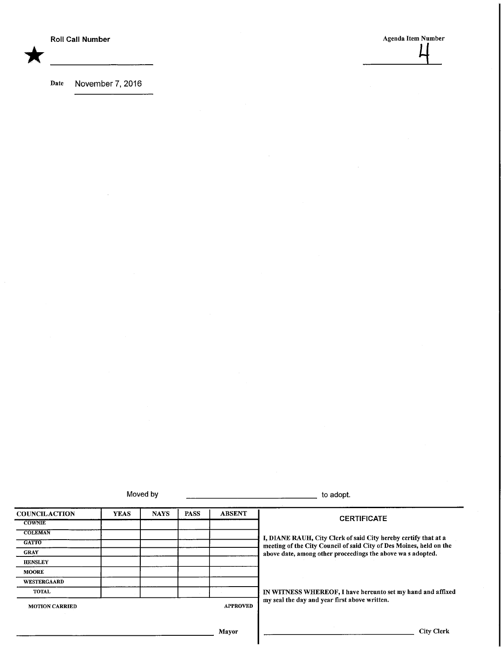\*

Roll Call Number Agenda Item Number  $\mathbf{\Delta}$ 

Date November 7, 2016

Moved by to adopt.

| <b>COUNCILACTION</b>  | <b>YEAS</b> | <b>NAYS</b> | <b>PASS</b>                                                 | <b>ABSENT</b>                                              |                                                                                                                                        |
|-----------------------|-------------|-------------|-------------------------------------------------------------|------------------------------------------------------------|----------------------------------------------------------------------------------------------------------------------------------------|
| <b>COWNIE</b>         |             |             |                                                             |                                                            | <b>CERTIFICATE</b>                                                                                                                     |
| <b>COLEMAN</b>        |             |             |                                                             |                                                            |                                                                                                                                        |
| GATTO                 |             |             |                                                             |                                                            | I, DIANE RAUH, City Clerk of said City hereby certify that at a<br>meeting of the City Council of said City of Des Moines, held on the |
| <b>GRAY</b>           |             |             |                                                             | above date, among other proceedings the above was adopted. |                                                                                                                                        |
| <b>HENSLEY</b>        |             |             |                                                             |                                                            |                                                                                                                                        |
| <b>MOORE</b>          |             |             |                                                             |                                                            |                                                                                                                                        |
| WESTERGAARD           |             |             |                                                             |                                                            |                                                                                                                                        |
| <b>TOTAL</b>          |             |             | IN WITNESS WHEREOF, I have hereunto set my hand and affixed |                                                            |                                                                                                                                        |
| <b>MOTION CARRIED</b> |             |             |                                                             | <b>APPROVED</b>                                            | my seal the day and year first above written.                                                                                          |
|                       |             |             |                                                             | <b>Mayor</b>                                               | <b>City Clerk</b>                                                                                                                      |